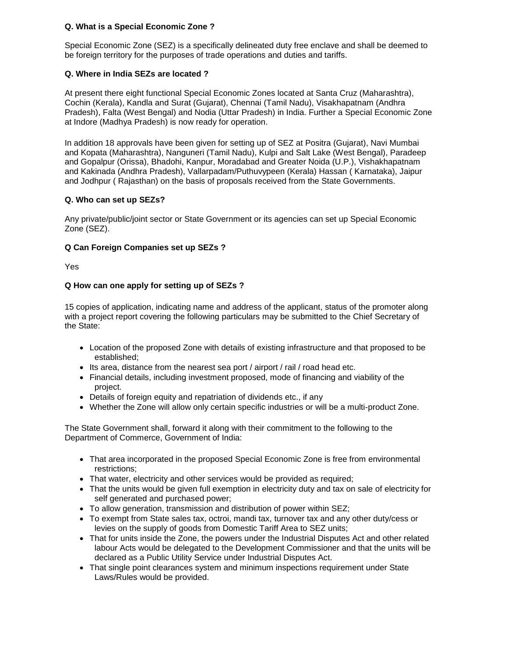## **Q. What is a Special Economic Zone ?**

Special Economic Zone (SEZ) is a specifically delineated duty free enclave and shall be deemed to be foreign territory for the purposes of trade operations and duties and tariffs.

## **Q. Where in India SEZs are located ?**

At present there eight functional Special Economic Zones located at Santa Cruz (Maharashtra), Cochin (Kerala), Kandla and Surat (Gujarat), Chennai (Tamil Nadu), Visakhapatnam (Andhra Pradesh), Falta (West Bengal) and Nodia (Uttar Pradesh) in India. Further a Special Economic Zone at Indore (Madhya Pradesh) is now ready for operation.

In addition 18 approvals have been given for setting up of SEZ at Positra (Gujarat), Navi Mumbai and Kopata (Maharashtra), Nanguneri (Tamil Nadu), Kulpi and Salt Lake (West Bengal), Paradeep and Gopalpur (Orissa), Bhadohi, Kanpur, Moradabad and Greater Noida (U.P.), Vishakhapatnam and Kakinada (Andhra Pradesh), Vallarpadam/Puthuvypeen (Kerala) Hassan ( Karnataka), Jaipur and Jodhpur ( Rajasthan) on the basis of proposals received from the State Governments.

### **Q. Who can set up SEZs?**

Any private/public/joint sector or State Government or its agencies can set up Special Economic Zone (SEZ).

### **Q Can Foreign Companies set up SEZs ?**

Yes

### **Q How can one apply for setting up of SEZs ?**

15 copies of application, indicating name and address of the applicant, status of the promoter along with a project report covering the following particulars may be submitted to the Chief Secretary of the State:

- Location of the proposed Zone with details of existing infrastructure and that proposed to be established;
- $\bullet$  Its area, distance from the nearest sea port / airport / rail / road head etc.
- Financial details, including investment proposed, mode of financing and viability of the project.
- Details of foreign equity and repatriation of dividends etc., if any
- Whether the Zone will allow only certain specific industries or will be a multi-product Zone.

The State Government shall, forward it along with their commitment to the following to the Department of Commerce, Government of India:

- That area incorporated in the proposed Special Economic Zone is free from environmental restrictions;
- That water, electricity and other services would be provided as required;
- That the units would be given full exemption in electricity duty and tax on sale of electricity for self generated and purchased power;
- To allow generation, transmission and distribution of power within SEZ;
- To exempt from State sales tax, octroi, mandi tax, turnover tax and any other duty/cess or levies on the supply of goods from Domestic Tariff Area to SEZ units;
- That for units inside the Zone, the powers under the Industrial Disputes Act and other related labour Acts would be delegated to the Development Commissioner and that the units will be declared as a Public Utility Service under Industrial Disputes Act.
- That single point clearances system and minimum inspections requirement under State Laws/Rules would be provided.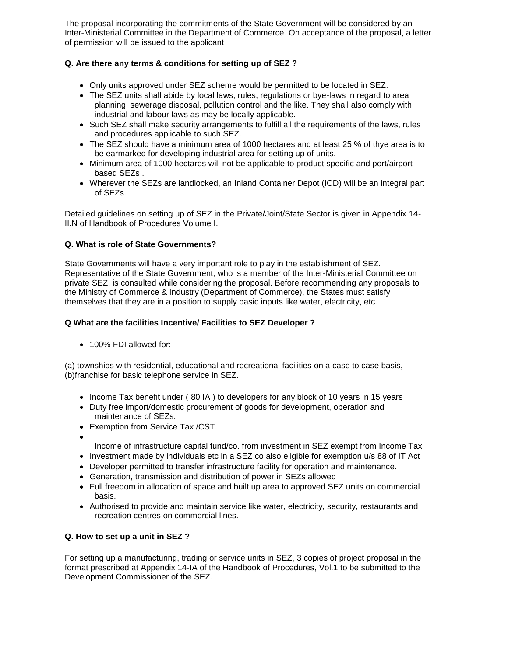The proposal incorporating the commitments of the State Government will be considered by an Inter-Ministerial Committee in the Department of Commerce. On acceptance of the proposal, a letter of permission will be issued to the applicant

# **Q. Are there any terms & conditions for setting up of SEZ ?**

- Only units approved under SEZ scheme would be permitted to be located in SEZ.
- The SEZ units shall abide by local laws, rules, regulations or bye-laws in regard to area planning, sewerage disposal, pollution control and the like. They shall also comply with industrial and labour laws as may be locally applicable.
- Such SEZ shall make security arrangements to fulfill all the requirements of the laws, rules and procedures applicable to such SEZ.
- The SEZ should have a minimum area of 1000 hectares and at least 25 % of thye area is to be earmarked for developing industrial area for setting up of units.
- Minimum area of 1000 hectares will not be applicable to product specific and port/airport based SEZs .
- Wherever the SEZs are landlocked, an Inland Container Depot (ICD) will be an integral part of SEZs.

Detailed guidelines on setting up of SEZ in the Private/Joint/State Sector is given in Appendix 14- II.N of Handbook of Procedures Volume I.

### **Q. What is role of State Governments?**

State Governments will have a very important role to play in the establishment of SEZ. Representative of the State Government, who is a member of the Inter-Ministerial Committee on private SEZ, is consulted while considering the proposal. Before recommending any proposals to the Ministry of Commerce & Industry (Department of Commerce), the States must satisfy themselves that they are in a position to supply basic inputs like water, electricity, etc.

#### **Q What are the facilities Incentive/ Facilities to SEZ Developer ?**

• 100% FDI allowed for:

(a) townships with residential, educational and recreational facilities on a case to case basis, (b)franchise for basic telephone service in SEZ.

- Income Tax benefit under (80 IA) to developers for any block of 10 years in 15 years
- Duty free import/domestic procurement of goods for development, operation and maintenance of SEZs.
- Exemption from Service Tax /CST.
- $\bullet$ 
	- Income of infrastructure capital fund/co. from investment in SEZ exempt from Income Tax
- Investment made by individuals etc in a SEZ co also eligible for exemption u/s 88 of IT Act
- Developer permitted to transfer infrastructure facility for operation and maintenance.
- Generation, transmission and distribution of power in SEZs allowed
- Full freedom in allocation of space and built up area to approved SEZ units on commercial basis.
- Authorised to provide and maintain service like water, electricity, security, restaurants and recreation centres on commercial lines.

#### **Q. How to set up a unit in SEZ ?**

For setting up a manufacturing, trading or service units in SEZ, 3 copies of project proposal in the format prescribed at Appendix 14-IA of the Handbook of Procedures, Vol.1 to be submitted to the Development Commissioner of the SEZ.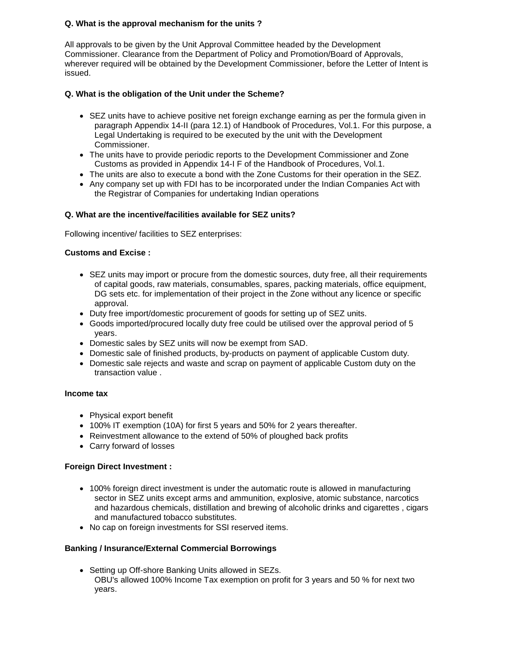# **Q. What is the approval mechanism for the units ?**

All approvals to be given by the Unit Approval Committee headed by the Development Commissioner. Clearance from the Department of Policy and Promotion/Board of Approvals, wherever required will be obtained by the Development Commissioner, before the Letter of Intent is issued.

# **Q. What is the obligation of the Unit under the Scheme?**

- SEZ units have to achieve positive net foreign exchange earning as per the formula given in paragraph Appendix 14-II (para 12.1) of Handbook of Procedures, Vol.1. For this purpose, a Legal Undertaking is required to be executed by the unit with the Development Commissioner.
- The units have to provide periodic reports to the Development Commissioner and Zone Customs as provided in Appendix 14-I F of the Handbook of Procedures, Vol.1.
- The units are also to execute a bond with the Zone Customs for their operation in the SEZ.
- Any company set up with FDI has to be incorporated under the Indian Companies Act with the Registrar of Companies for undertaking Indian operations

### **Q. What are the incentive/facilities available for SEZ units?**

Following incentive/ facilities to SEZ enterprises:

### **Customs and Excise :**

- SEZ units may import or procure from the domestic sources, duty free, all their requirements of capital goods, raw materials, consumables, spares, packing materials, office equipment, DG sets etc. for implementation of their project in the Zone without any licence or specific approval.
- Duty free import/domestic procurement of goods for setting up of SEZ units.
- Goods imported/procured locally duty free could be utilised over the approval period of 5 years.
- Domestic sales by SEZ units will now be exempt from SAD.
- Domestic sale of finished products, by-products on payment of applicable Custom duty.
- Domestic sale rejects and waste and scrap on payment of applicable Custom duty on the transaction value .

#### **Income tax**

- Physical export benefit
- 100% IT exemption (10A) for first 5 years and 50% for 2 years thereafter.
- Reinvestment allowance to the extend of 50% of ploughed back profits
- Carry forward of losses

#### **Foreign Direct Investment :**

- 100% foreign direct investment is under the automatic route is allowed in manufacturing sector in SEZ units except arms and ammunition, explosive, atomic substance, narcotics and hazardous chemicals, distillation and brewing of alcoholic drinks and cigarettes , cigars and manufactured tobacco substitutes.
- No cap on foreign investments for SSI reserved items.

#### **Banking / Insurance/External Commercial Borrowings**

• Setting up Off-shore Banking Units allowed in SEZs. OBU's allowed 100% Income Tax exemption on profit for 3 years and 50 % for next two years.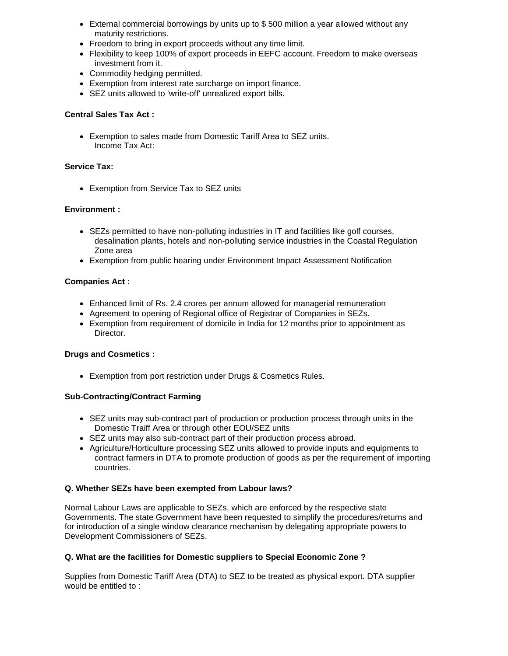- External commercial borrowings by units up to \$ 500 million a year allowed without any maturity restrictions.
- Freedom to bring in export proceeds without any time limit.
- Flexibility to keep 100% of export proceeds in EEFC account. Freedom to make overseas investment from it.
- Commodity hedging permitted.
- Exemption from interest rate surcharge on import finance.
- SEZ units allowed to 'write-off' unrealized export bills.

# **Central Sales Tax Act :**

 Exemption to sales made from Domestic Tariff Area to SEZ units. Income Tax Act:

# **Service Tax:**

Exemption from Service Tax to SEZ units

# **Environment :**

- SEZs permitted to have non-polluting industries in IT and facilities like golf courses, desalination plants, hotels and non-polluting service industries in the Coastal Regulation Zone area
- Exemption from public hearing under Environment Impact Assessment Notification

# **Companies Act :**

- Enhanced limit of Rs. 2.4 crores per annum allowed for managerial remuneration
- Agreement to opening of Regional office of Registrar of Companies in SEZs.
- Exemption from requirement of domicile in India for 12 months prior to appointment as Director.

# **Drugs and Cosmetics :**

Exemption from port restriction under Drugs & Cosmetics Rules.

# **Sub-Contracting/Contract Farming**

- SEZ units may sub-contract part of production or production process through units in the Domestic Traiff Area or through other EOU/SEZ units
- SEZ units may also sub-contract part of their production process abroad.
- Agriculture/Horticulture processing SEZ units allowed to provide inputs and equipments to contract farmers in DTA to promote production of goods as per the requirement of importing countries.

# **Q. Whether SEZs have been exempted from Labour laws?**

Normal Labour Laws are applicable to SEZs, which are enforced by the respective state Governments. The state Government have been requested to simplify the procedures/returns and for introduction of a single window clearance mechanism by delegating appropriate powers to Development Commissioners of SEZs.

# **Q. What are the facilities for Domestic suppliers to Special Economic Zone ?**

Supplies from Domestic Tariff Area (DTA) to SEZ to be treated as physical export. DTA supplier would be entitled to :